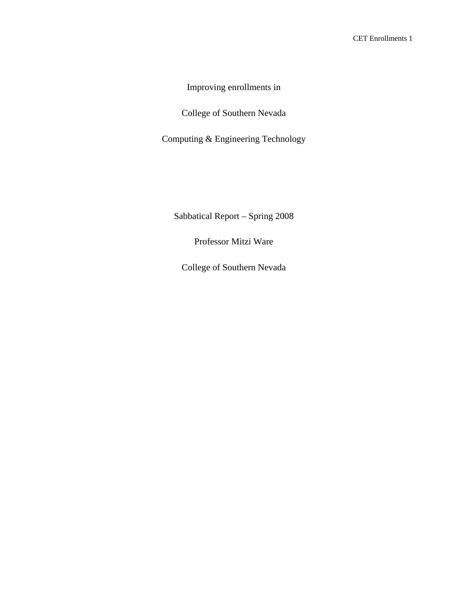Improving enrollments in

College of Southern Nevada

Computing & Engineering Technology

Sabbatical Report – Spring 2008

Professor Mitzi Ware

College of Southern Nevada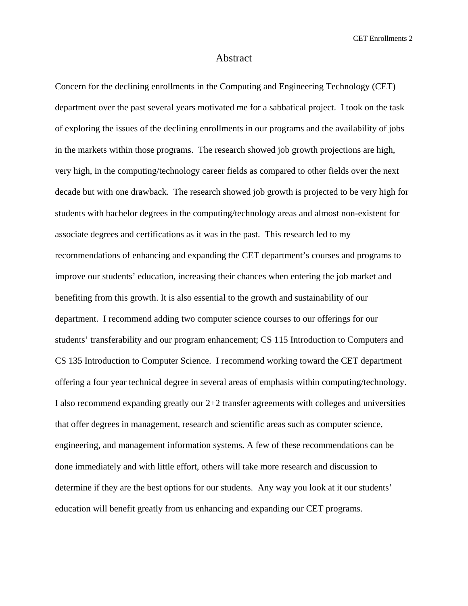#### Abstract

Concern for the declining enrollments in the Computing and Engineering Technology (CET) department over the past several years motivated me for a sabbatical project. I took on the task of exploring the issues of the declining enrollments in our programs and the availability of jobs in the markets within those programs. The research showed job growth projections are high, very high, in the computing/technology career fields as compared to other fields over the next decade but with one drawback. The research showed job growth is projected to be very high for students with bachelor degrees in the computing/technology areas and almost non-existent for associate degrees and certifications as it was in the past. This research led to my recommendations of enhancing and expanding the CET department's courses and programs to improve our students' education, increasing their chances when entering the job market and benefiting from this growth. It is also essential to the growth and sustainability of our department. I recommend adding two computer science courses to our offerings for our students' transferability and our program enhancement; CS 115 Introduction to Computers and CS 135 Introduction to Computer Science. I recommend working toward the CET department offering a four year technical degree in several areas of emphasis within computing/technology. I also recommend expanding greatly our 2+2 transfer agreements with colleges and universities that offer degrees in management, research and scientific areas such as computer science, engineering, and management information systems. A few of these recommendations can be done immediately and with little effort, others will take more research and discussion to determine if they are the best options for our students. Any way you look at it our students' education will benefit greatly from us enhancing and expanding our CET programs.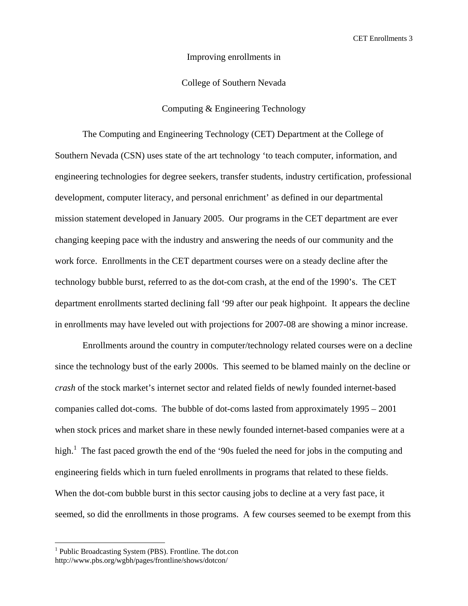Improving enrollments in

College of Southern Nevada

Computing & Engineering Technology

The Computing and Engineering Technology (CET) Department at the College of Southern Nevada (CSN) uses state of the art technology 'to teach computer, information, and engineering technologies for degree seekers, transfer students, industry certification, professional development, computer literacy, and personal enrichment' as defined in our departmental mission statement developed in January 2005. Our programs in the CET department are ever changing keeping pace with the industry and answering the needs of our community and the work force. Enrollments in the CET department courses were on a steady decline after the technology bubble burst, referred to as the dot-com crash, at the end of the 1990's. The CET department enrollments started declining fall '99 after our peak highpoint. It appears the decline in enrollments may have leveled out with projections for 2007-08 are showing a minor increase.

Enrollments around the country in computer/technology related courses were on a decline since the technology bust of the early 2000s. This seemed to be blamed mainly on the decline or *crash* of the stock market's internet sector and related fields of newly founded internet-based companies called dot-coms. The bubble of dot-coms lasted from approximately 1995 – 2001 when stock prices and market share in these newly founded internet-based companies were at a high.<sup>1</sup> The fast paced growth the end of the '90s fueled the need for jobs in the computing and engineering fields which in turn fueled enrollments in programs that related to these fields. When the dot-com bubble burst in this sector causing jobs to decline at a very fast pace, it seemed, so did the enrollments in those programs. A few courses seemed to be exempt from this

 $\overline{a}$ 

<sup>&</sup>lt;sup>1</sup> Public Broadcasting System (PBS). Frontline. The dot.con http://www.pbs.org/wgbh/pages/frontline/shows/dotcon/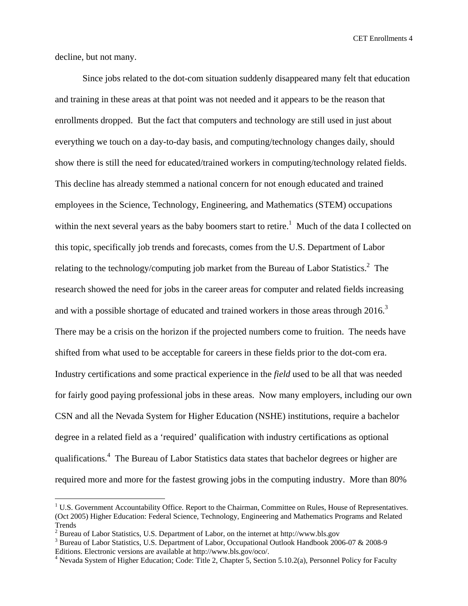decline, but not many.

 $\overline{a}$ 

Since jobs related to the dot-com situation suddenly disappeared many felt that education and training in these areas at that point was not needed and it appears to be the reason that enrollments dropped. But the fact that computers and technology are still used in just about everything we touch on a day-to-day basis, and computing/technology changes daily, should show there is still the need for educated/trained workers in computing/technology related fields. This decline has already stemmed a national concern for not enough educated and trained employees in the Science, Technology, Engineering, and Mathematics (STEM) occupations within the next several years as the baby boomers start to retire.<sup>1</sup> Much of the data I collected on this topic, specifically job trends and forecasts, comes from the U.S. Department of Labor relating to the technology/computing job market from the Bureau of Labor Statistics.<sup>2</sup> The research showed the need for jobs in the career areas for computer and related fields increasing and with a possible shortage of educated and trained workers in those areas through  $2016$ .<sup>3</sup> There may be a crisis on the horizon if the projected numbers come to fruition. The needs have shifted from what used to be acceptable for careers in these fields prior to the dot-com era. Industry certifications and some practical experience in the *field* used to be all that was needed for fairly good paying professional jobs in these areas. Now many employers, including our own CSN and all the Nevada System for Higher Education (NSHE) institutions, require a bachelor degree in a related field as a 'required' qualification with industry certifications as optional qualifications.<sup>4</sup> The Bureau of Labor Statistics data states that bachelor degrees or higher are required more and more for the fastest growing jobs in the computing industry. More than 80%

<sup>&</sup>lt;sup>1</sup> U.S. Government Accountability Office. Report to the Chairman, Committee on Rules, House of Representatives. (Oct 2005) Higher Education: Federal Science, Technology, Engineering and Mathematics Programs and Related Trends

<sup>&</sup>lt;sup>2</sup> Bureau of Labor Statistics, U.S. Department of Labor, on the internet at http://www.bls.gov<br><sup>3</sup> Bureau of Labor Statistics, U.S. Department of Labor, Occupational Outlook Handbook 200

<sup>&</sup>lt;sup>3</sup> Bureau of Labor Statistics, U.S. Department of Labor, Occupational Outlook Handbook 2006-07 & 2008-9 Editions. Electronic versions are available at http://www.bls.gov/oco/.

<sup>&</sup>lt;sup>4</sup> Nevada System of Higher Education; Code: Title 2, Chapter 5, Section 5.10.2(a), Personnel Policy for Faculty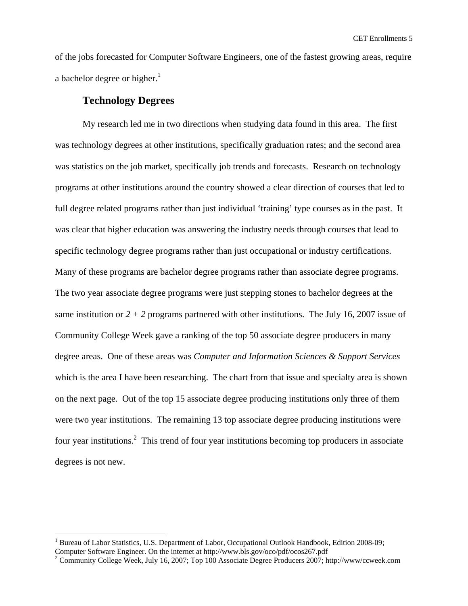of the jobs forecasted for Computer Software Engineers, one of the fastest growing areas, require a bachelor degree or higher. $1$ 

### **Technology Degrees**

 $\overline{a}$ 

My research led me in two directions when studying data found in this area. The first was technology degrees at other institutions, specifically graduation rates; and the second area was statistics on the job market, specifically job trends and forecasts. Research on technology programs at other institutions around the country showed a clear direction of courses that led to full degree related programs rather than just individual 'training' type courses as in the past. It was clear that higher education was answering the industry needs through courses that lead to specific technology degree programs rather than just occupational or industry certifications. Many of these programs are bachelor degree programs rather than associate degree programs. The two year associate degree programs were just stepping stones to bachelor degrees at the same institution or  $2 + 2$  programs partnered with other institutions. The July 16, 2007 issue of Community College Week gave a ranking of the top 50 associate degree producers in many degree areas. One of these areas was *Computer and Information Sciences & Support Services*  which is the area I have been researching. The chart from that issue and specialty area is shown on the next page. Out of the top 15 associate degree producing institutions only three of them were two year institutions. The remaining 13 top associate degree producing institutions were four year institutions.<sup>2</sup> This trend of four year institutions becoming top producers in associate degrees is not new.

<sup>&</sup>lt;sup>1</sup> Bureau of Labor Statistics, U.S. Department of Labor, Occupational Outlook Handbook, Edition 2008-09; Computer Software Engineer. On the internet at http://www.bls.gov/oco/pdf/ocos267.pdf 2

<sup>&</sup>lt;sup>2</sup> Community College Week, July 16, 2007; Top 100 Associate Degree Producers 2007; http://www/ccweek.com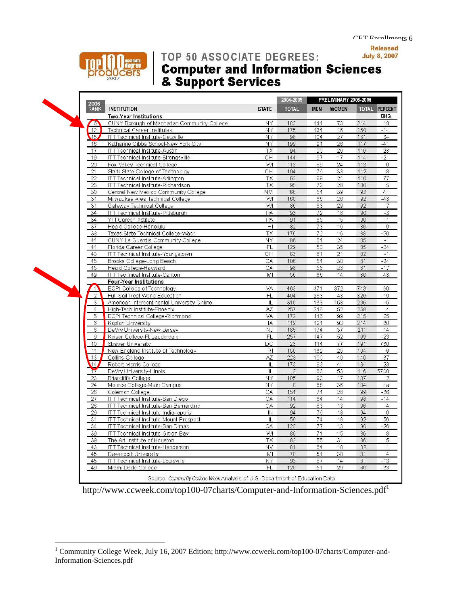

# TOP 50 ASSOCIATE DEGREES:

# **Computer and Information Sciences<br>& Support Services**



Г

 $\overline{a}$ 

| 2006                 |                                                  |              | $2004 - 2005$  | <b>PRELIMINART ZUG-ZUG</b> |              |     |                |
|----------------------|--------------------------------------------------|--------------|----------------|----------------------------|--------------|-----|----------------|
| <b>RANK</b>          | <b>INSTITUTION</b>                               | <b>STATE</b> | <b>TOTAL</b>   | <b>MEN</b>                 | <b>WOMEN</b> |     | TOTAL PERCENT  |
|                      | Two-Year Institutions                            |              |                |                            |              |     | CHG.           |
| 6                    | CUNY Borough of Manhattan Community College      | <b>NY</b>    | 182            | 141                        | 73           | 214 | 18             |
| 12                   | Technical Career Institutes                      | NY           | 175            | 134                        | 16           | 150 | $-14$          |
| $\sqrt{15}$          | <b>ITT Technical Institute-Getzville</b>         | NY           | 98             | 104                        | 27           | 131 | 34             |
| 16                   | Katharine Gibbs School-New York City             | NY           | 199            | 91                         | 26           | 117 | $-41$          |
| 17                   | ITT Technical Institute-Austin                   | <b>TX</b>    | 94             | 90                         | 26           | 116 | 23             |
| 19                   | ITT Technical Institute-Strongsville             | OH           | 144            | 97                         | 17           | 114 | $-21$          |
| 20                   | Fox Valley Technical College                     | WI           | 113            | 89                         | 24           | 113 | $\Omega$       |
| 21                   | Stark State College of Technology                | OH           | 104            | 79                         | 33           | 112 | 8              |
| 22                   | ITT Technical Institute-Arlington                | <b>TX</b>    | 62             | 89                         | 21           | 110 | 77             |
| 25                   | ITT Technical Institute-Richardson               | <b>TX</b>    | 95             | 72                         | 28           | 100 | 5              |
| 30                   | Central New Mexico Community College             | <b>NM</b>    | 66             | 54                         | 39           | 93  | 41             |
| 31                   | Milwaukee Area Technical College                 | W            | 160            | 66                         | 26           | 92  | $-43$          |
| 31                   | Gateway Technical College                        | WI           | 86             | 63                         | 29           | 92  | $\overline{7}$ |
| 34                   | <b>ITT Technical Institute-Pittsburgh</b>        | PA           | 93             | 72                         | 18           | 90  | $-3$           |
| 34                   | YTI Career Institute                             | PA           | 91             | 85                         | 5            | 90  | $-1$           |
| 37                   | Heald College-Honolulu                           | HI           | 82             | 73                         | 16           | 89  | $\mathbf{Q}$   |
| 38                   | Texas State Technical College-Waco               | TX           | 176            | 72                         | 16           | 88  | $-50$          |
| 41                   | CUNY La Guardia Community College                | NY           | 86             | 61                         | 24           | 85  | $-1$           |
| 41                   | Florida Career College                           | FL           | 129            | 50                         | 35           | 85  | $-34$          |
| 43                   | ITT Technical Institute-Youngstown               | OH           | 83             | 61                         | 21           | 82  | $-1$           |
| 45                   | Brooks College-Long Beach                        | CA           | 106            | 51                         | 30           | 81  | $-24$          |
| 45                   | Heald College-Hayward                            | CA           | 98             | 58                         | 23           | 81  | $-17$          |
| 49                   | <b>ITT Technical Institute-Canton</b>            | MI           | 56             | 66                         | 14           | 80  | 43             |
|                      | Four-Year Institutions                           |              |                |                            |              |     |                |
| $\blacktriangleleft$ | ECPI College of Technology                       | VA           | 463            | 371                        | 372          | 743 | 60             |
| $\overline{2}$       | Full Sail Real World Education                   | FL           | 404            | 283                        | 43           | 326 | $-19$          |
| 3                    | American Intercontinental University Online      | $\mathbb{L}$ | 310            | 138                        | 158          | 296 | $-5$           |
| $\overline{4}$       | High-Tech Institute-Phoenix                      | AZ           | 257            | 216                        | 52           | 268 | $\overline{4}$ |
| 5                    | ECPI Technical College-Richmond                  | <b>VA</b>    | 172            | 116                        | 99           | 215 | 25             |
| $6\,$                |                                                  | IA           | 119            | 121                        | 93           | 214 | 80             |
| 8                    | Kaplan University<br>DeVry University-New Jersey | <b>NJ</b>    | 185            |                            |              |     | 14             |
|                      |                                                  |              | 257            | 174                        | 37<br>52     | 211 | $-23$          |
| $\mathbf{9}$         | Keiser College-Ft Lauderdale                     | FL           |                | 147                        |              | 199 |                |
| 10                   | Straver University                               | DC           | 23             | 114                        | 77           | 191 | 730            |
| 11                   | New England Institute of Technology              | R1           | 150            | 139                        | 25           | 164 | $\mathbf{9}$   |
| 13                   | Collins College                                  | AZ           | 223            | 100                        | 40           | 140 | $-37$          |
| (14)                 | Robert Morris College                            | IL           | 173            | 93                         | 41           | 134 | $-23$          |
| 17                   | DeVry University-Illinois                        | $\mathbf{1}$ | $\overline{2}$ | 63                         | 53           | 116 | 5700           |
| 23                   | Briarcliffe College                              | <b>NY</b>    | 105            | 90                         | 17           | 107 | $\overline{2}$ |
| 24                   | Monroe College-Main Campus                       | NY           | $\theta$       | 68                         | 36           | 104 | na             |
| 26                   | Coleman College                                  | CA           | 154            | 71                         | 28           | 99  | $-36$          |
| 27                   | ITT Technical Institute-San Diego                | CA           | 114            | 84                         | 14           | 98  | $-14$          |
| 28                   | ITT Technical Institute-San Bemardino            | CА           | 92             | 83                         | 13           | 96  | $\overline{4}$ |
| 29                   | ITT Technical Institute-Indianapolis             | $\mathbb{N}$ | 94             | 76                         | 18           | 94  | $\overline{0}$ |
| 31                   | <b>ITT Technical Institute-Mount Prospect</b>    | $\mathbf{I}$ | 59             | 74                         | 18           | 92  | 56             |
| 34                   | ITT Technical Institute-San Dimas                | CA           | 122            | 77                         | 13           | 90  | $-26$          |
| 39                   | ITT Technical Institute-Green Bav                | WI           | 80             | 71                         | 15           | 86  | 8              |
| 39                   | The Art Institute of Houston                     | <b>TX</b>    | 82             | 55                         | 31           | 86  | 5              |
| 43                   | <b>ITT Technical Institute-Henderson</b>         | NV           | 81             | 64                         | 18           | 82  | 1              |
| 45                   | Davenport University                             | MI           | 78             | 51                         | 30           | 81  | $\overline{4}$ |
| 45                   | ITT Technical Institute-Louisville               | KY           | 93             | 67                         | 14           | 81  | $-13$          |
| 49                   | Miami Dade College                               | FL           | 120            | 51                         | 29           | 80  | $-33$          |

http://www.ccweek.com/top100-07charts/Computer-and-Information-Sciences.pdf<sup>1</sup>

<sup>&</sup>lt;sup>1</sup> Community College Week, July 16, 2007 Edition; http://www.ccweek.com/top100-07charts/Computer-and-Information-Sciences.pdf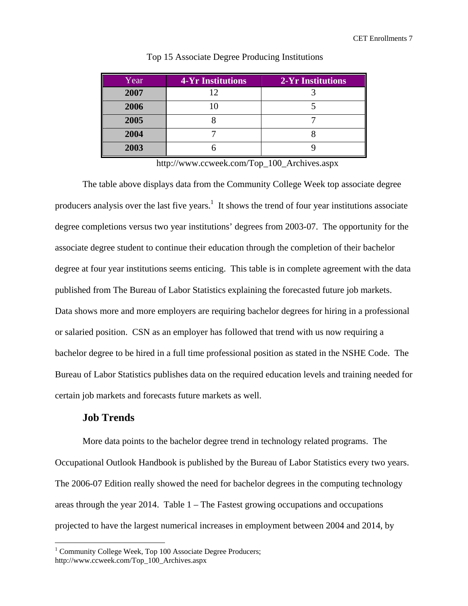| Year | 4-Yr Institutions | <b>2-Yr Institutions</b> |
|------|-------------------|--------------------------|
| 2007 | 12                |                          |
| 2006 |                   |                          |
| 2005 |                   |                          |
| 2004 |                   |                          |
| 2003 |                   |                          |

#### Top 15 Associate Degree Producing Institutions

http://www.ccweek.com/Top\_100\_Archives.aspx

The table above displays data from the Community College Week top associate degree producers analysis over the last five years.<sup>1</sup> It shows the trend of four year institutions associate degree completions versus two year institutions' degrees from 2003-07. The opportunity for the associate degree student to continue their education through the completion of their bachelor degree at four year institutions seems enticing. This table is in complete agreement with the data published from The Bureau of Labor Statistics explaining the forecasted future job markets. Data shows more and more employers are requiring bachelor degrees for hiring in a professional or salaried position. CSN as an employer has followed that trend with us now requiring a bachelor degree to be hired in a full time professional position as stated in the NSHE Code. The Bureau of Labor Statistics publishes data on the required education levels and training needed for certain job markets and forecasts future markets as well.

## **Job Trends**

 $\overline{a}$ 

More data points to the bachelor degree trend in technology related programs. The Occupational Outlook Handbook is published by the Bureau of Labor Statistics every two years. The 2006-07 Edition really showed the need for bachelor degrees in the computing technology areas through the year 2014. Table 1 – The Fastest growing occupations and occupations projected to have the largest numerical increases in employment between 2004 and 2014, by

<sup>&</sup>lt;sup>1</sup> Community College Week, Top 100 Associate Degree Producers; http://www.ccweek.com/Top\_100\_Archives.aspx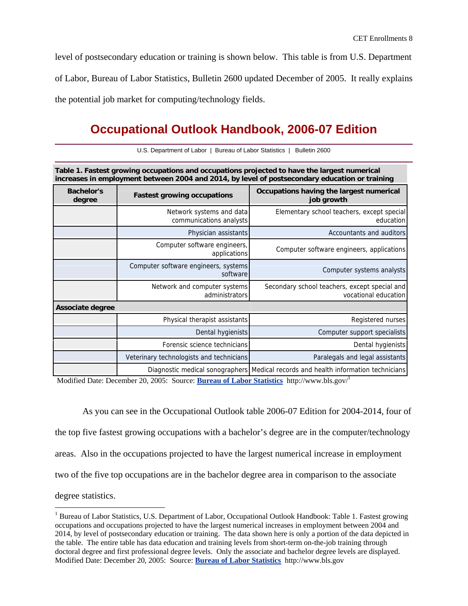level of postsecondary education or training is shown below. This table is from U.S. Department of Labor, Bureau of Labor Statistics, Bulletin 2600 updated December of 2005. It really explains the potential job market for computing/technology fields.

## **Occupational Outlook Handbook, 2006-07 Edition**

| U.S. Department of Labor   Bureau of Labor Statistics   Bulletin 2600 |  |
|-----------------------------------------------------------------------|--|
|                                                                       |  |

**Table 1. Fastest growing occupations and occupations projected to have the largest numerical increases in employment between 2004 and 2014, by level of postsecondary education or training**

| <b>Bachelor's</b><br>degree | <b>Fastest growing occupations</b>                  | Occupations having the largest numerical<br>job growth                             |  |  |  |  |
|-----------------------------|-----------------------------------------------------|------------------------------------------------------------------------------------|--|--|--|--|
|                             | Network systems and data<br>communications analysts | Elementary school teachers, except special<br>education                            |  |  |  |  |
|                             | Physician assistants                                | Accountants and auditors                                                           |  |  |  |  |
|                             | Computer software engineers,<br>applications        | Computer software engineers, applications                                          |  |  |  |  |
|                             | Computer software engineers, systems<br>software    | Computer systems analysts                                                          |  |  |  |  |
|                             | Network and computer systems<br>administrators      | Secondary school teachers, except special and<br>vocational education              |  |  |  |  |
| Associate degree            |                                                     |                                                                                    |  |  |  |  |
|                             | Physical therapist assistants                       | Registered nurses                                                                  |  |  |  |  |
|                             | Dental hygienists                                   | Computer support specialists                                                       |  |  |  |  |
|                             | Forensic science technicians                        | Dental hygienists                                                                  |  |  |  |  |
|                             | Veterinary technologists and technicians            | Paralegals and legal assistants                                                    |  |  |  |  |
|                             |                                                     | Diagnostic medical sonographers Medical records and health information technicians |  |  |  |  |

Modified Date: December 20, 2005: Source: **Bureau of Labor Statistics** http://www.bls.gov/1

 $\overline{a}$ 

As you can see in the Occupational Outlook table 2006-07 Edition for 2004-2014, four of the top five fastest growing occupations with a bachelor's degree are in the computer/technology areas. Also in the occupations projected to have the largest numerical increase in employment two of the five top occupations are in the bachelor degree area in comparison to the associate degree statistics.

<sup>&</sup>lt;sup>1</sup> Bureau of Labor Statistics, U.S. Department of Labor, Occupational Outlook Handbook: Table 1. Fastest growing occupations and occupations projected to have the largest numerical increases in employment between 2004 and 2014, by level of postsecondary education or training. The data shown here is only a portion of the data depicted in the table. The entire table has data education and training levels from short-term on-the-job training through doctoral degree and first professional degree levels. Only the associate and bachelor degree levels are displayed. Modified Date: December 20, 2005: Source: **Bureau of Labor Statistics** http://www.bls.gov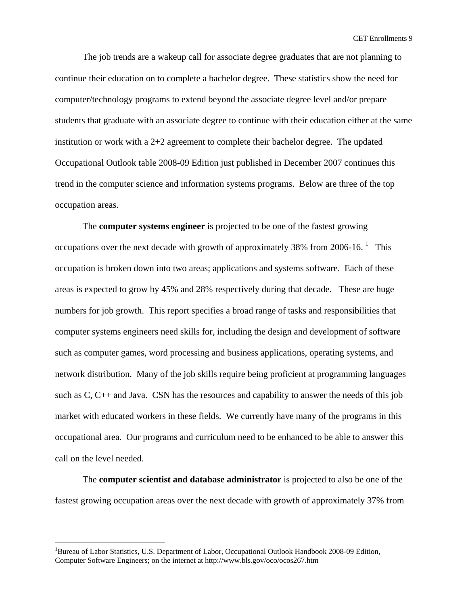The job trends are a wakeup call for associate degree graduates that are not planning to continue their education on to complete a bachelor degree. These statistics show the need for computer/technology programs to extend beyond the associate degree level and/or prepare students that graduate with an associate degree to continue with their education either at the same institution or work with a 2+2 agreement to complete their bachelor degree. The updated Occupational Outlook table 2008-09 Edition just published in December 2007 continues this trend in the computer science and information systems programs. Below are three of the top occupation areas.

The **computer systems engineer** is projected to be one of the fastest growing occupations over the next decade with growth of approximately 38% from 2006-16.  $^1$  This occupation is broken down into two areas; applications and systems software. Each of these areas is expected to grow by 45% and 28% respectively during that decade. These are huge numbers for job growth. This report specifies a broad range of tasks and responsibilities that computer systems engineers need skills for, including the design and development of software such as computer games, word processing and business applications, operating systems, and network distribution. Many of the job skills require being proficient at programming languages such as C, C++ and Java. CSN has the resources and capability to answer the needs of this job market with educated workers in these fields. We currently have many of the programs in this occupational area. Our programs and curriculum need to be enhanced to be able to answer this call on the level needed.

The **computer scientist and database administrator** is projected to also be one of the fastest growing occupation areas over the next decade with growth of approximately 37% from

 $\overline{a}$ 

<sup>&</sup>lt;sup>1</sup>Bureau of Labor Statistics, U.S. Department of Labor, Occupational Outlook Handbook 2008-09 Edition, Computer Software Engineers; on the internet at http://www.bls.gov/oco/ocos267.htm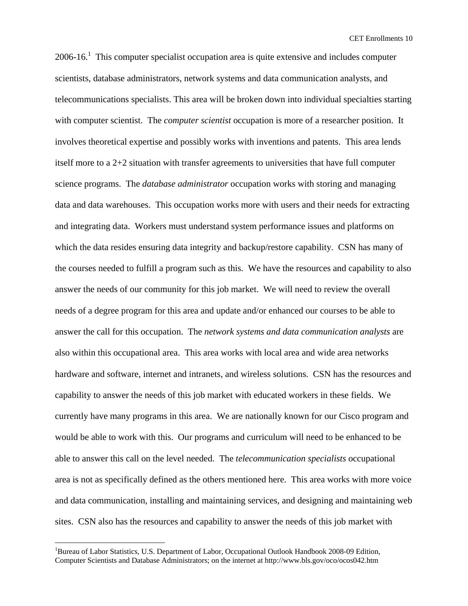2006-16.<sup>1</sup> This computer specialist occupation area is quite extensive and includes computer scientists, database administrators, network systems and data communication analysts, and telecommunications specialists. This area will be broken down into individual specialties starting with computer scientist. The *computer scientist* occupation is more of a researcher position. It involves theoretical expertise and possibly works with inventions and patents. This area lends itself more to a 2+2 situation with transfer agreements to universities that have full computer science programs. The *database administrator* occupation works with storing and managing data and data warehouses. This occupation works more with users and their needs for extracting and integrating data. Workers must understand system performance issues and platforms on which the data resides ensuring data integrity and backup/restore capability. CSN has many of the courses needed to fulfill a program such as this. We have the resources and capability to also answer the needs of our community for this job market. We will need to review the overall needs of a degree program for this area and update and/or enhanced our courses to be able to answer the call for this occupation. The *network systems and data communication analysts* are also within this occupational area. This area works with local area and wide area networks hardware and software, internet and intranets, and wireless solutions. CSN has the resources and capability to answer the needs of this job market with educated workers in these fields. We currently have many programs in this area. We are nationally known for our Cisco program and would be able to work with this. Our programs and curriculum will need to be enhanced to be able to answer this call on the level needed. The *telecommunication specialists* occupational area is not as specifically defined as the others mentioned here. This area works with more voice and data communication, installing and maintaining services, and designing and maintaining web sites. CSN also has the resources and capability to answer the needs of this job market with

 $\overline{a}$ 

<sup>&</sup>lt;sup>1</sup>Bureau of Labor Statistics, U.S. Department of Labor, Occupational Outlook Handbook 2008-09 Edition, Computer Scientists and Database Administrators; on the internet at http://www.bls.gov/oco/ocos042.htm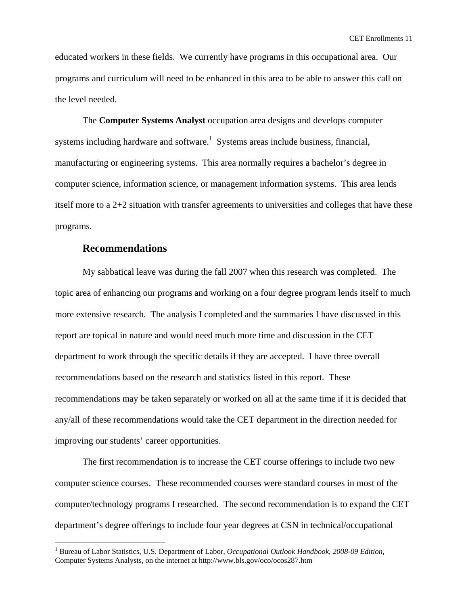educated workers in these fields. We currently have programs in this occupational area. Our programs and curriculum will need to be enhanced in this area to be able to answer this call on the level needed.

The **Computer Systems Analyst** occupation area designs and develops computer systems including hardware and software.<sup>1</sup> Systems areas include business, financial, manufacturing or engineering systems. This area normally requires a bachelor's degree in computer science, information science, or management information systems. This area lends itself more to a 2+2 situation with transfer agreements to universities and colleges that have these programs.

### **Recommendations**

 $\overline{a}$ 

My sabbatical leave was during the fall 2007 when this research was completed. The topic area of enhancing our programs and working on a four degree program lends itself to much more extensive research. The analysis I completed and the summaries I have discussed in this report are topical in nature and would need much more time and discussion in the CET department to work through the specific details if they are accepted. I have three overall recommendations based on the research and statistics listed in this report. These recommendations may be taken separately or worked on all at the same time if it is decided that any/all of these recommendations would take the CET department in the direction needed for improving our students' career opportunities.

The first recommendation is to increase the CET course offerings to include two new computer science courses. These recommended courses were standard courses in most of the computer/technology programs I researched. The second recommendation is to expand the CET department's degree offerings to include four year degrees at CSN in technical/occupational

<sup>&</sup>lt;sup>1</sup> Bureau of Labor Statistics, U.S. Department of Labor, *Occupational Outlook Handbook*, 2008-09 Edition, Computer Systems Analysts, on the internet at http://www.bls.gov/oco/ocos287.htm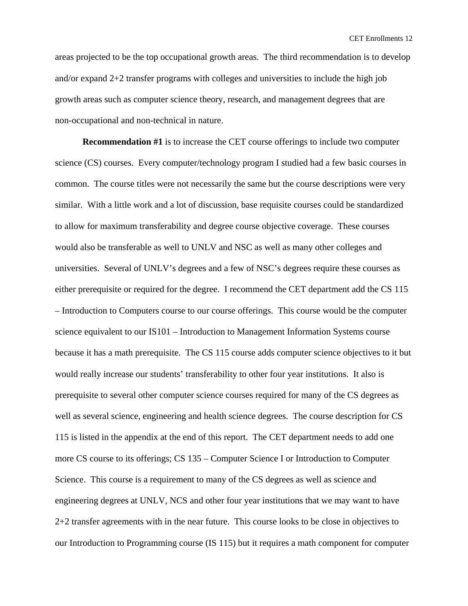areas projected to be the top occupational growth areas. The third recommendation is to develop and/or expand 2+2 transfer programs with colleges and universities to include the high job growth areas such as computer science theory, research, and management degrees that are non-occupational and non-technical in nature.

**Recommendation #1** is to increase the CET course offerings to include two computer science (CS) courses. Every computer/technology program I studied had a few basic courses in common. The course titles were not necessarily the same but the course descriptions were very similar. With a little work and a lot of discussion, base requisite courses could be standardized to allow for maximum transferability and degree course objective coverage. These courses would also be transferable as well to UNLV and NSC as well as many other colleges and universities. Several of UNLV's degrees and a few of NSC's degrees require these courses as either prerequisite or required for the degree. I recommend the CET department add the CS 115 – Introduction to Computers course to our course offerings. This course would be the computer science equivalent to our IS101 – Introduction to Management Information Systems course because it has a math prerequisite. The CS 115 course adds computer science objectives to it but would really increase our students' transferability to other four year institutions. It also is prerequisite to several other computer science courses required for many of the CS degrees as well as several science, engineering and health science degrees. The course description for CS 115 is listed in the appendix at the end of this report. The CET department needs to add one more CS course to its offerings; CS 135 – Computer Science I or Introduction to Computer Science. This course is a requirement to many of the CS degrees as well as science and engineering degrees at UNLV, NCS and other four year institutions that we may want to have 2+2 transfer agreements with in the near future. This course looks to be close in objectives to our Introduction to Programming course (IS 115) but it requires a math component for computer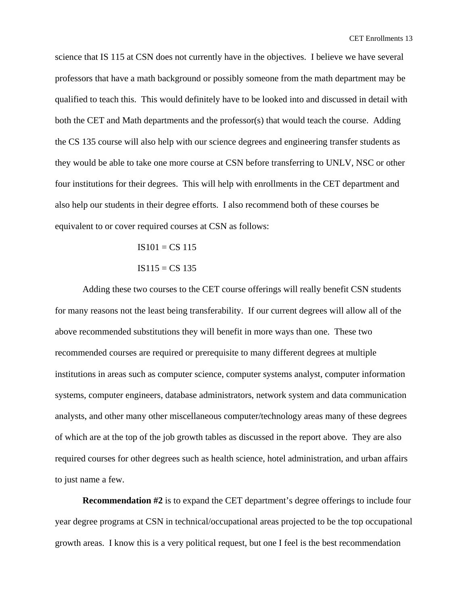science that IS 115 at CSN does not currently have in the objectives. I believe we have several professors that have a math background or possibly someone from the math department may be qualified to teach this. This would definitely have to be looked into and discussed in detail with both the CET and Math departments and the professor(s) that would teach the course. Adding the CS 135 course will also help with our science degrees and engineering transfer students as they would be able to take one more course at CSN before transferring to UNLV, NSC or other four institutions for their degrees. This will help with enrollments in the CET department and also help our students in their degree efforts. I also recommend both of these courses be equivalent to or cover required courses at CSN as follows:

$$
IS101 = CS 115
$$

$$
IS115 = CS 135
$$

Adding these two courses to the CET course offerings will really benefit CSN students for many reasons not the least being transferability. If our current degrees will allow all of the above recommended substitutions they will benefit in more ways than one. These two recommended courses are required or prerequisite to many different degrees at multiple institutions in areas such as computer science, computer systems analyst, computer information systems, computer engineers, database administrators, network system and data communication analysts, and other many other miscellaneous computer/technology areas many of these degrees of which are at the top of the job growth tables as discussed in the report above. They are also required courses for other degrees such as health science, hotel administration, and urban affairs to just name a few.

**Recommendation #2** is to expand the CET department's degree offerings to include four year degree programs at CSN in technical/occupational areas projected to be the top occupational growth areas. I know this is a very political request, but one I feel is the best recommendation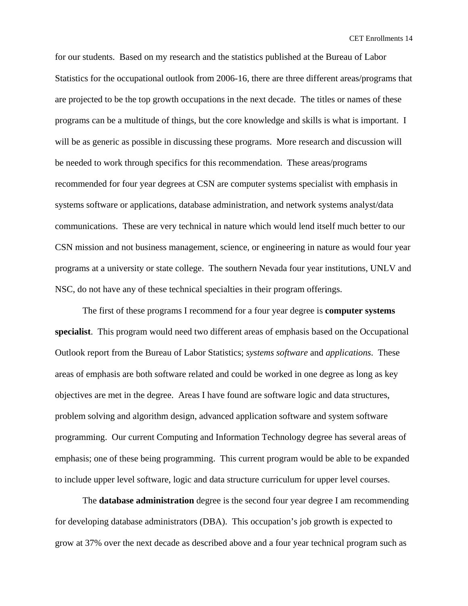for our students. Based on my research and the statistics published at the Bureau of Labor Statistics for the occupational outlook from 2006-16, there are three different areas/programs that are projected to be the top growth occupations in the next decade. The titles or names of these programs can be a multitude of things, but the core knowledge and skills is what is important. I will be as generic as possible in discussing these programs. More research and discussion will be needed to work through specifics for this recommendation. These areas/programs recommended for four year degrees at CSN are computer systems specialist with emphasis in systems software or applications, database administration, and network systems analyst/data communications. These are very technical in nature which would lend itself much better to our CSN mission and not business management, science, or engineering in nature as would four year programs at a university or state college. The southern Nevada four year institutions, UNLV and NSC, do not have any of these technical specialties in their program offerings.

The first of these programs I recommend for a four year degree is **computer systems specialist**. This program would need two different areas of emphasis based on the Occupational Outlook report from the Bureau of Labor Statistics; *systems software* and *applications*. These areas of emphasis are both software related and could be worked in one degree as long as key objectives are met in the degree. Areas I have found are software logic and data structures, problem solving and algorithm design, advanced application software and system software programming. Our current Computing and Information Technology degree has several areas of emphasis; one of these being programming. This current program would be able to be expanded to include upper level software, logic and data structure curriculum for upper level courses.

The **database administration** degree is the second four year degree I am recommending for developing database administrators (DBA). This occupation's job growth is expected to grow at 37% over the next decade as described above and a four year technical program such as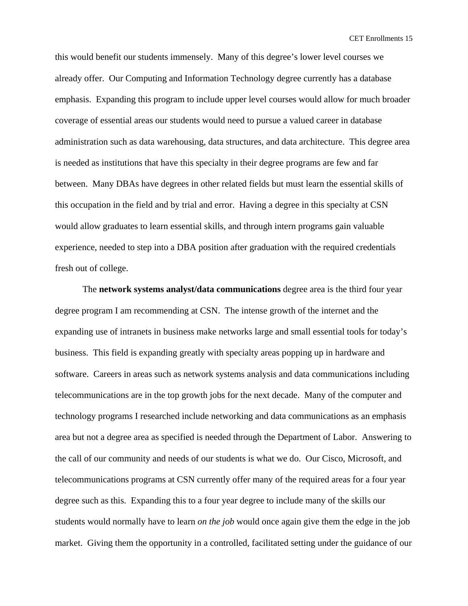this would benefit our students immensely. Many of this degree's lower level courses we already offer. Our Computing and Information Technology degree currently has a database emphasis. Expanding this program to include upper level courses would allow for much broader coverage of essential areas our students would need to pursue a valued career in database administration such as data warehousing, data structures, and data architecture. This degree area is needed as institutions that have this specialty in their degree programs are few and far between. Many DBAs have degrees in other related fields but must learn the essential skills of this occupation in the field and by trial and error. Having a degree in this specialty at CSN would allow graduates to learn essential skills, and through intern programs gain valuable experience, needed to step into a DBA position after graduation with the required credentials fresh out of college.

The **network systems analyst/data communications** degree area is the third four year degree program I am recommending at CSN. The intense growth of the internet and the expanding use of intranets in business make networks large and small essential tools for today's business. This field is expanding greatly with specialty areas popping up in hardware and software. Careers in areas such as network systems analysis and data communications including telecommunications are in the top growth jobs for the next decade. Many of the computer and technology programs I researched include networking and data communications as an emphasis area but not a degree area as specified is needed through the Department of Labor. Answering to the call of our community and needs of our students is what we do. Our Cisco, Microsoft, and telecommunications programs at CSN currently offer many of the required areas for a four year degree such as this. Expanding this to a four year degree to include many of the skills our students would normally have to learn *on the job* would once again give them the edge in the job market. Giving them the opportunity in a controlled, facilitated setting under the guidance of our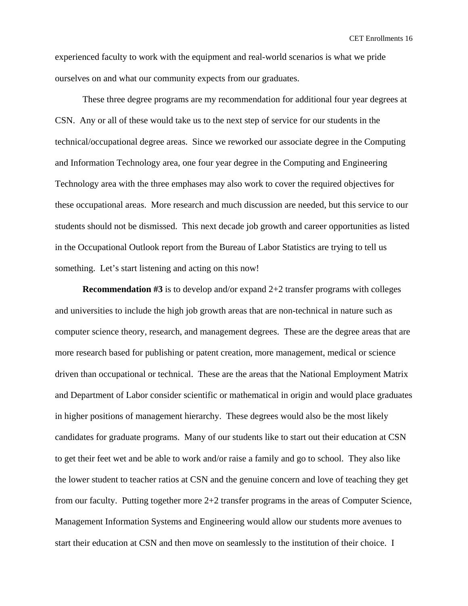experienced faculty to work with the equipment and real-world scenarios is what we pride ourselves on and what our community expects from our graduates.

These three degree programs are my recommendation for additional four year degrees at CSN. Any or all of these would take us to the next step of service for our students in the technical/occupational degree areas. Since we reworked our associate degree in the Computing and Information Technology area, one four year degree in the Computing and Engineering Technology area with the three emphases may also work to cover the required objectives for these occupational areas. More research and much discussion are needed, but this service to our students should not be dismissed. This next decade job growth and career opportunities as listed in the Occupational Outlook report from the Bureau of Labor Statistics are trying to tell us something. Let's start listening and acting on this now!

**Recommendation #3** is to develop and/or expand 2+2 transfer programs with colleges and universities to include the high job growth areas that are non-technical in nature such as computer science theory, research, and management degrees. These are the degree areas that are more research based for publishing or patent creation, more management, medical or science driven than occupational or technical. These are the areas that the National Employment Matrix and Department of Labor consider scientific or mathematical in origin and would place graduates in higher positions of management hierarchy. These degrees would also be the most likely candidates for graduate programs. Many of our students like to start out their education at CSN to get their feet wet and be able to work and/or raise a family and go to school. They also like the lower student to teacher ratios at CSN and the genuine concern and love of teaching they get from our faculty. Putting together more 2+2 transfer programs in the areas of Computer Science, Management Information Systems and Engineering would allow our students more avenues to start their education at CSN and then move on seamlessly to the institution of their choice. I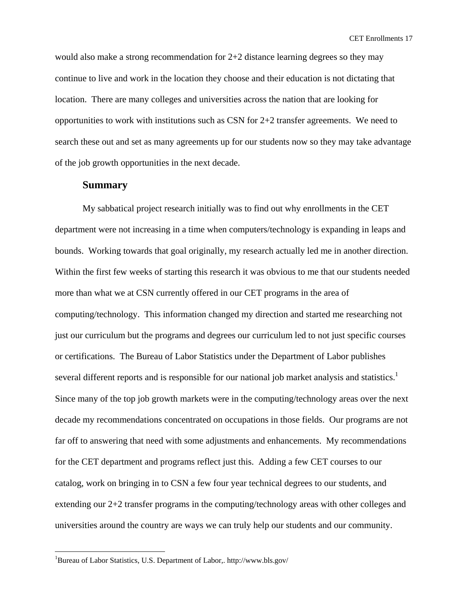would also make a strong recommendation for 2+2 distance learning degrees so they may continue to live and work in the location they choose and their education is not dictating that location. There are many colleges and universities across the nation that are looking for opportunities to work with institutions such as CSN for 2+2 transfer agreements. We need to search these out and set as many agreements up for our students now so they may take advantage of the job growth opportunities in the next decade.

#### **Summary**

My sabbatical project research initially was to find out why enrollments in the CET department were not increasing in a time when computers/technology is expanding in leaps and bounds. Working towards that goal originally, my research actually led me in another direction. Within the first few weeks of starting this research it was obvious to me that our students needed more than what we at CSN currently offered in our CET programs in the area of computing/technology. This information changed my direction and started me researching not just our curriculum but the programs and degrees our curriculum led to not just specific courses or certifications. The Bureau of Labor Statistics under the Department of Labor publishes several different reports and is responsible for our national job market analysis and statistics.<sup>1</sup> Since many of the top job growth markets were in the computing/technology areas over the next decade my recommendations concentrated on occupations in those fields. Our programs are not far off to answering that need with some adjustments and enhancements. My recommendations for the CET department and programs reflect just this. Adding a few CET courses to our catalog, work on bringing in to CSN a few four year technical degrees to our students, and extending our 2+2 transfer programs in the computing/technology areas with other colleges and universities around the country are ways we can truly help our students and our community.

<u>.</u>

<sup>&</sup>lt;sup>1</sup>Bureau of Labor Statistics, U.S. Department of Labor,. http://www.bls.gov/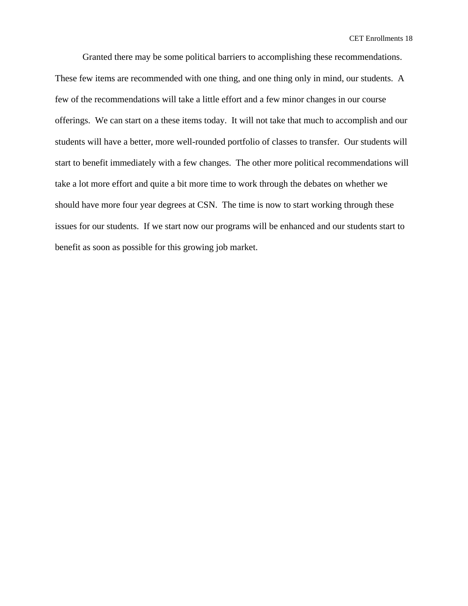Granted there may be some political barriers to accomplishing these recommendations. These few items are recommended with one thing, and one thing only in mind, our students. A few of the recommendations will take a little effort and a few minor changes in our course offerings. We can start on a these items today. It will not take that much to accomplish and our students will have a better, more well-rounded portfolio of classes to transfer. Our students will start to benefit immediately with a few changes. The other more political recommendations will take a lot more effort and quite a bit more time to work through the debates on whether we should have more four year degrees at CSN. The time is now to start working through these issues for our students. If we start now our programs will be enhanced and our students start to benefit as soon as possible for this growing job market.